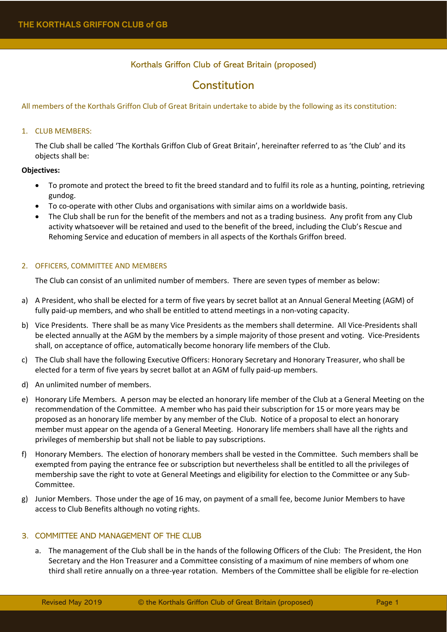# Korthals Griffon Club of Great Britain (proposed)

# **Constitution**

# All members of the Korthals Griffon Club of Great Britain undertake to abide by the following as its constitution:

# 1. CLUB MEMBERS:

The Club shall be called 'The Korthals Griffon Club of Great Britain', hereinafter referred to as 'the Club' and its objects shall be:

# **Objectives:**

- To promote and protect the breed to fit the breed standard and to fulfil its role as a hunting, pointing, retrieving gundog.
- To co-operate with other Clubs and organisations with similar aims on a worldwide basis.
- The Club shall be run for the benefit of the members and not as a trading business. Any profit from any Club activity whatsoever will be retained and used to the benefit of the breed, including the Club's Rescue and Rehoming Service and education of members in all aspects of the Korthals Griffon breed.

# 2. OFFICERS, COMMITTEE AND MEMBERS

The Club can consist of an unlimited number of members. There are seven types of member as below:

- a) A President, who shall be elected for a term of five years by secret ballot at an Annual General Meeting (AGM) of fully paid-up members, and who shall be entitled to attend meetings in a non-voting capacity.
- b) Vice Presidents. There shall be as many Vice Presidents as the members shall determine. All Vice-Presidents shall be elected annually at the AGM by the members by a simple majority of those present and voting. Vice-Presidents shall, on acceptance of office, automatically become honorary life members of the Club.
- c) The Club shall have the following Executive Officers: Honorary Secretary and Honorary Treasurer, who shall be elected for a term of five years by secret ballot at an AGM of fully paid-up members.
- d) An unlimited number of members.
- e) Honorary Life Members. A person may be elected an honorary life member of the Club at a General Meeting on the recommendation of the Committee. A member who has paid their subscription for 15 or more years may be proposed as an honorary life member by any member of the Club. Notice of a proposal to elect an honorary member must appear on the agenda of a General Meeting. Honorary life members shall have all the rights and privileges of membership but shall not be liable to pay subscriptions.
- f) Honorary Members. The election of honorary members shall be vested in the Committee. Such members shall be exempted from paying the entrance fee or subscription but nevertheless shall be entitled to all the privileges of membership save the right to vote at General Meetings and eligibility for election to the Committee or any Sub-Committee.
- g) Junior Members. Those under the age of 16 may, on payment of a small fee, become Junior Members to have access to Club Benefits although no voting rights.

# 3. COMMITTEE AND MANAGEMENT OF THE CLUB

a. The management of the Club shall be in the hands of the following Officers of the Club: The President, the Hon Secretary and the Hon Treasurer and a Committee consisting of a maximum of nine members of whom one third shall retire annually on a three-year rotation. Members of the Committee shall be eligible for re-election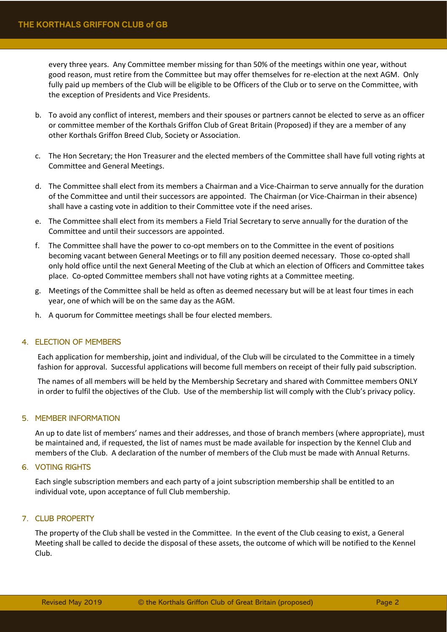every three years. Any Committee member missing for than 50% of the meetings within one year, without good reason, must retire from the Committee but may offer themselves for re-election at the next AGM. Only fully paid up members of the Club will be eligible to be Officers of the Club or to serve on the Committee, with the exception of Presidents and Vice Presidents.

- b. To avoid any conflict of interest, members and their spouses or partners cannot be elected to serve as an officer or committee member of the Korthals Griffon Club of Great Britain (Proposed) if they are a member of any other Korthals Griffon Breed Club, Society or Association.
- c. The Hon Secretary; the Hon Treasurer and the elected members of the Committee shall have full voting rights at Committee and General Meetings.
- d. The Committee shall elect from its members a Chairman and a Vice-Chairman to serve annually for the duration of the Committee and until their successors are appointed. The Chairman (or Vice-Chairman in their absence) shall have a casting vote in addition to their Committee vote if the need arises.
- e. The Committee shall elect from its members a Field Trial Secretary to serve annually for the duration of the Committee and until their successors are appointed.
- f. The Committee shall have the power to co-opt members on to the Committee in the event of positions becoming vacant between General Meetings or to fill any position deemed necessary. Those co-opted shall only hold office until the next General Meeting of the Club at which an election of Officers and Committee takes place. Co-opted Committee members shall not have voting rights at a Committee meeting.
- g. Meetings of the Committee shall be held as often as deemed necessary but will be at least four times in each year, one of which will be on the same day as the AGM.
- h. A quorum for Committee meetings shall be four elected members.

# 4. ELECTION OF MEMBERS

Each application for membership, joint and individual, of the Club will be circulated to the Committee in a timely fashion for approval. Successful applications will become full members on receipt of their fully paid subscription.

The names of all members will be held by the Membership Secretary and shared with Committee members ONLY in order to fulfil the objectives of the Club. Use of the membership list will comply with the Club's privacy policy.

## 5. MEMBER INFORMATION

An up to date list of members' names and their addresses, and those of branch members (where appropriate), must be maintained and, if requested, the list of names must be made available for inspection by the Kennel Club and members of the Club. A declaration of the number of members of the Club must be made with Annual Returns.

## 6. VOTING RIGHTS

Each single subscription members and each party of a joint subscription membership shall be entitled to an individual vote, upon acceptance of full Club membership.

## 7. CLUB PROPERTY

The property of the Club shall be vested in the Committee. In the event of the Club ceasing to exist, a General Meeting shall be called to decide the disposal of these assets, the outcome of which will be notified to the Kennel Club.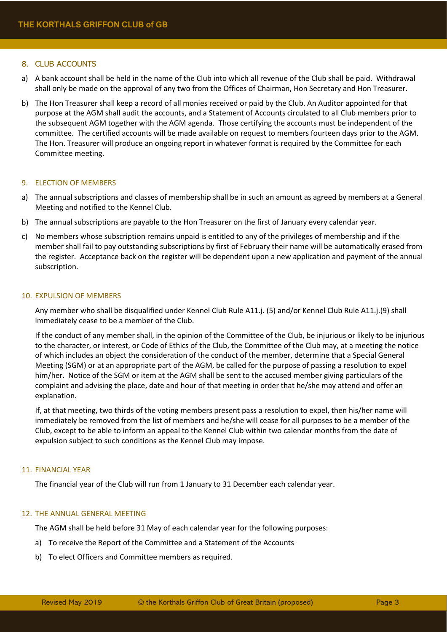# 8. CLUB ACCOUNTS

- a) A bank account shall be held in the name of the Club into which all revenue of the Club shall be paid. Withdrawal shall only be made on the approval of any two from the Offices of Chairman, Hon Secretary and Hon Treasurer.
- b) The Hon Treasurer shall keep a record of all monies received or paid by the Club. An Auditor appointed for that purpose at the AGM shall audit the accounts, and a Statement of Accounts circulated to all Club members prior to the subsequent AGM together with the AGM agenda. Those certifying the accounts must be independent of the committee. The certified accounts will be made available on request to members fourteen days prior to the AGM. The Hon. Treasurer will produce an ongoing report in whatever format is required by the Committee for each Committee meeting.

## 9. ELECTION OF MEMBERS

- a) The annual subscriptions and classes of membership shall be in such an amount as agreed by members at a General Meeting and notified to the Kennel Club.
- b) The annual subscriptions are payable to the Hon Treasurer on the first of January every calendar year.
- c) No members whose subscription remains unpaid is entitled to any of the privileges of membership and if the member shall fail to pay outstanding subscriptions by first of February their name will be automatically erased from the register. Acceptance back on the register will be dependent upon a new application and payment of the annual subscription.

## 10. EXPULSION OF MEMBERS

Any member who shall be disqualified under Kennel Club Rule A11.j. (5) and/or Kennel Club Rule A11.j.(9) shall immediately cease to be a member of the Club.

If the conduct of any member shall, in the opinion of the Committee of the Club, be injurious or likely to be injurious to the character, or interest, or Code of Ethics of the Club, the Committee of the Club may, at a meeting the notice of which includes an object the consideration of the conduct of the member, determine that a Special General Meeting (SGM) or at an appropriate part of the AGM, be called for the purpose of passing a resolution to expel him/her. Notice of the SGM or item at the AGM shall be sent to the accused member giving particulars of the complaint and advising the place, date and hour of that meeting in order that he/she may attend and offer an explanation.

If, at that meeting, two thirds of the voting members present pass a resolution to expel, then his/her name will immediately be removed from the list of members and he/she will cease for all purposes to be a member of the Club, except to be able to inform an appeal to the Kennel Club within two calendar months from the date of expulsion subject to such conditions as the Kennel Club may impose.

## 11. FINANCIAL YEAR

The financial year of the Club will run from 1 January to 31 December each calendar year.

## 12. THE ANNUAL GENERAL MEETING

The AGM shall be held before 31 May of each calendar year for the following purposes:

- a) To receive the Report of the Committee and a Statement of the Accounts
- b) To elect Officers and Committee members as required.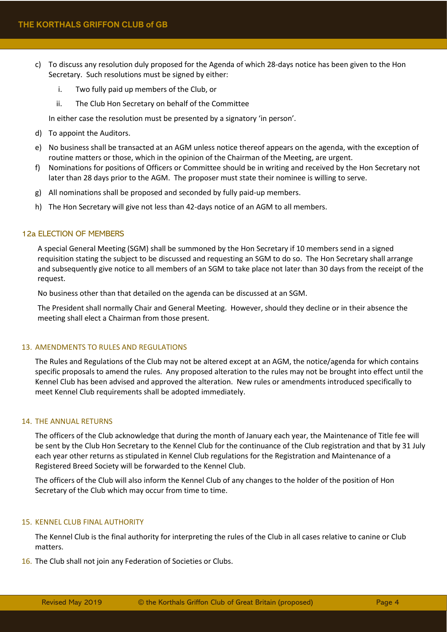- c) To discuss any resolution duly proposed for the Agenda of which 28-days notice has been given to the Hon Secretary. Such resolutions must be signed by either:
	- i. Two fully paid up members of the Club, or
	- ii. The Club Hon Secretary on behalf of the Committee

In either case the resolution must be presented by a signatory 'in person'.

- d) To appoint the Auditors.
- e) No business shall be transacted at an AGM unless notice thereof appears on the agenda, with the exception of routine matters or those, which in the opinion of the Chairman of the Meeting, are urgent.
- f) Nominations for positions of Officers or Committee should be in writing and received by the Hon Secretary not later than 28 days prior to the AGM. The proposer must state their nominee is willing to serve.
- g) All nominations shall be proposed and seconded by fully paid-up members.
- h) The Hon Secretary will give not less than 42-days notice of an AGM to all members.

# 12a ELECTION OF MEMBERS

A special General Meeting (SGM) shall be summoned by the Hon Secretary if 10 members send in a signed requisition stating the subject to be discussed and requesting an SGM to do so. The Hon Secretary shall arrange and subsequently give notice to all members of an SGM to take place not later than 30 days from the receipt of the request.

No business other than that detailed on the agenda can be discussed at an SGM.

The President shall normally Chair and General Meeting. However, should they decline or in their absence the meeting shall elect a Chairman from those present.

## 13. AMENDMENTS TO RULES AND REGULATIONS

The Rules and Regulations of the Club may not be altered except at an AGM, the notice/agenda for which contains specific proposals to amend the rules. Any proposed alteration to the rules may not be brought into effect until the Kennel Club has been advised and approved the alteration. New rules or amendments introduced specifically to meet Kennel Club requirements shall be adopted immediately.

## 14. THE ANNUAL RETURNS

The officers of the Club acknowledge that during the month of January each year, the Maintenance of Title fee will be sent by the Club Hon Secretary to the Kennel Club for the continuance of the Club registration and that by 31 July each year other returns as stipulated in Kennel Club regulations for the Registration and Maintenance of a Registered Breed Society will be forwarded to the Kennel Club.

The officers of the Club will also inform the Kennel Club of any changes to the holder of the position of Hon Secretary of the Club which may occur from time to time.

## 15. KENNEL CLUB FINAL AUTHORITY

The Kennel Club is the final authority for interpreting the rules of the Club in all cases relative to canine or Club matters.

16. The Club shall not join any Federation of Societies or Clubs.